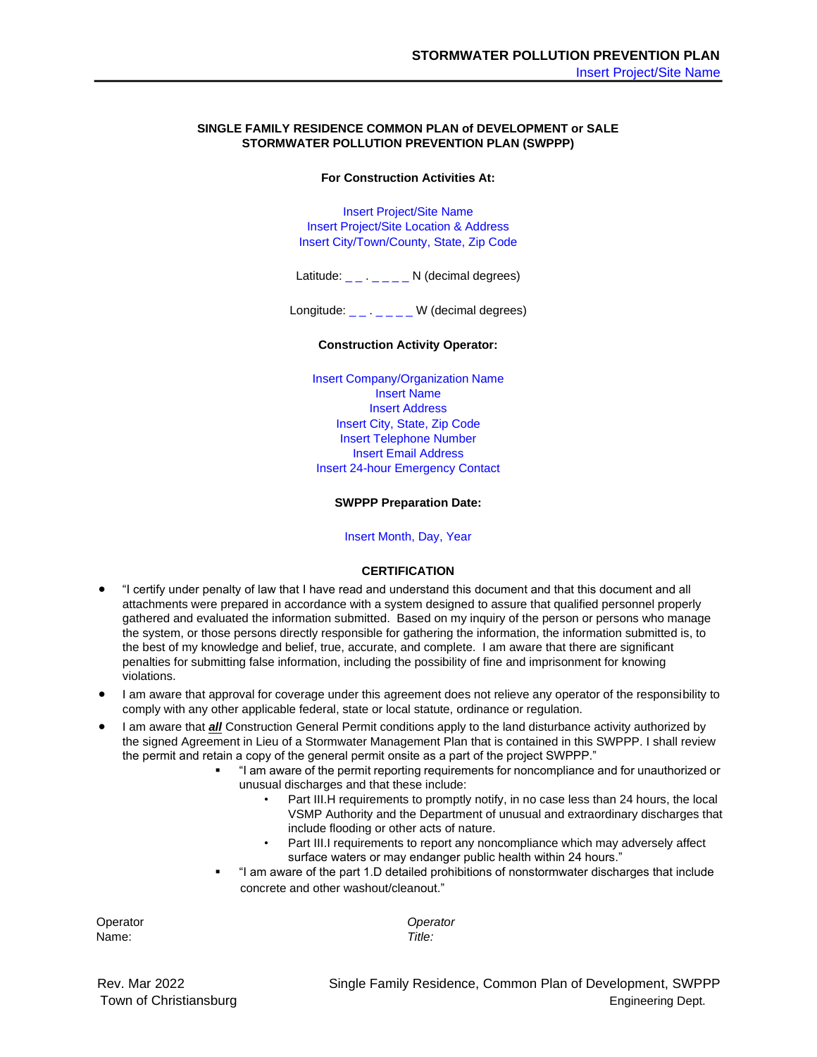## **SINGLE FAMILY RESIDENCE COMMON PLAN of DEVELOPMENT or SALE STORMWATER POLLUTION PREVENTION PLAN (SWPPP)**

## **For Construction Activities At:**

Insert Project/Site Name Insert Project/Site Location & Address Insert City/Town/County, State, Zip Code

Latitude: \_ \_ . \_ \_ \_ \_ N (decimal degrees)

Longitude: \_ \_ . \_ \_ \_ \_ W (decimal degrees)

## **Construction Activity Operator:**

Insert Company/Organization Name Insert Name Insert Address Insert City, State, Zip Code Insert Telephone Number Insert Email Address Insert 24-hour Emergency Contact

#### **SWPPP Preparation Date:**

## Insert Month, Day, Year

## **CERTIFICATION**

- "I certify under penalty of law that I have read and understand this document and that this document and all attachments were prepared in accordance with a system designed to assure that qualified personnel properly gathered and evaluated the information submitted. Based on my inquiry of the person or persons who manage the system, or those persons directly responsible for gathering the information, the information submitted is, to the best of my knowledge and belief, true, accurate, and complete. I am aware that there are significant penalties for submitting false information, including the possibility of fine and imprisonment for knowing violations.
- I am aware that approval for coverage under this agreement does not relieve any operator of the responsibility to comply with any other applicable federal, state or local statute, ordinance or regulation.
- I am aware that *all* Construction General Permit conditions apply to the land disturbance activity authorized by the signed Agreement in Lieu of a Stormwater Management Plan that is contained in this SWPPP. I shall review the permit and retain a copy of the general permit onsite as a part of the project SWPPP."
	- "I am aware of the permit reporting requirements for noncompliance and for unauthorized or unusual discharges and that these include:
		- Part III.H requirements to promptly notify, in no case less than 24 hours, the local VSMP Authority and the Department of unusual and extraordinary discharges that include flooding or other acts of nature.
		- Part III.I requirements to report any noncompliance which may adversely affect surface waters or may endanger public health within 24 hours."
	- "I am aware of the part 1.D detailed prohibitions of nonstormwater discharges that include concrete and other washout/cleanout."

Name: *Title:* 

Operator *Operator* 

Rev. Mar 2022 Single Family Residence, Common Plan of Development, SWPPP Town of Christiansburg **Engineering Dept.** Town of Christiansburg **Engineering Dept.**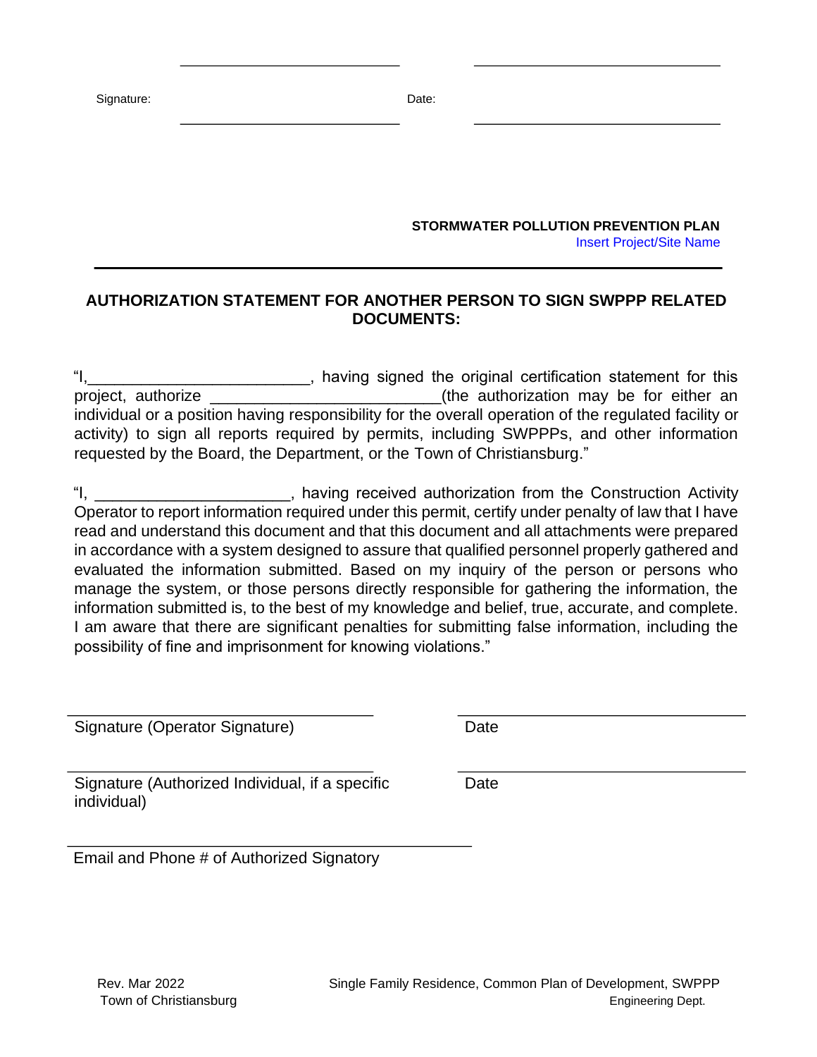Signature: Date: Date: Date: Date: Date: Date: Date: Date: Date: Date: Date: Date: Date: Date: Date: Date: Date: Date: Date: Date: Date: Date: Date: Date: Date: Date: Date: Date: Date: Date: Date: Date: Date: Date: Date: D

**STORMWATER POLLUTION PREVENTION PLAN**  Insert Project/Site Name

# **AUTHORIZATION STATEMENT FOR ANOTHER PERSON TO SIGN SWPPP RELATED DOCUMENTS:**

I, having signed the original certification statement for this project, authorize \_\_\_\_\_\_\_\_\_\_\_\_\_\_\_\_\_\_\_\_\_\_\_\_\_\_(the authorization may be for either an individual or a position having responsibility for the overall operation of the regulated facility or activity) to sign all reports required by permits, including SWPPPs, and other information requested by the Board, the Department, or the Town of Christiansburg."

"I, \_\_\_\_\_\_\_\_\_\_\_\_\_\_\_\_\_\_\_\_\_\_, having received authorization from the Construction Activity Operator to report information required under this permit, certify under penalty of law that I have read and understand this document and that this document and all attachments were prepared in accordance with a system designed to assure that qualified personnel properly gathered and evaluated the information submitted. Based on my inquiry of the person or persons who manage the system, or those persons directly responsible for gathering the information, the information submitted is, to the best of my knowledge and belief, true, accurate, and complete. I am aware that there are significant penalties for submitting false information, including the possibility of fine and imprisonment for knowing violations."

Signature (Operator Signature) Date

Signature (Authorized Individual, if a specific individual)

Date

Email and Phone # of Authorized Signatory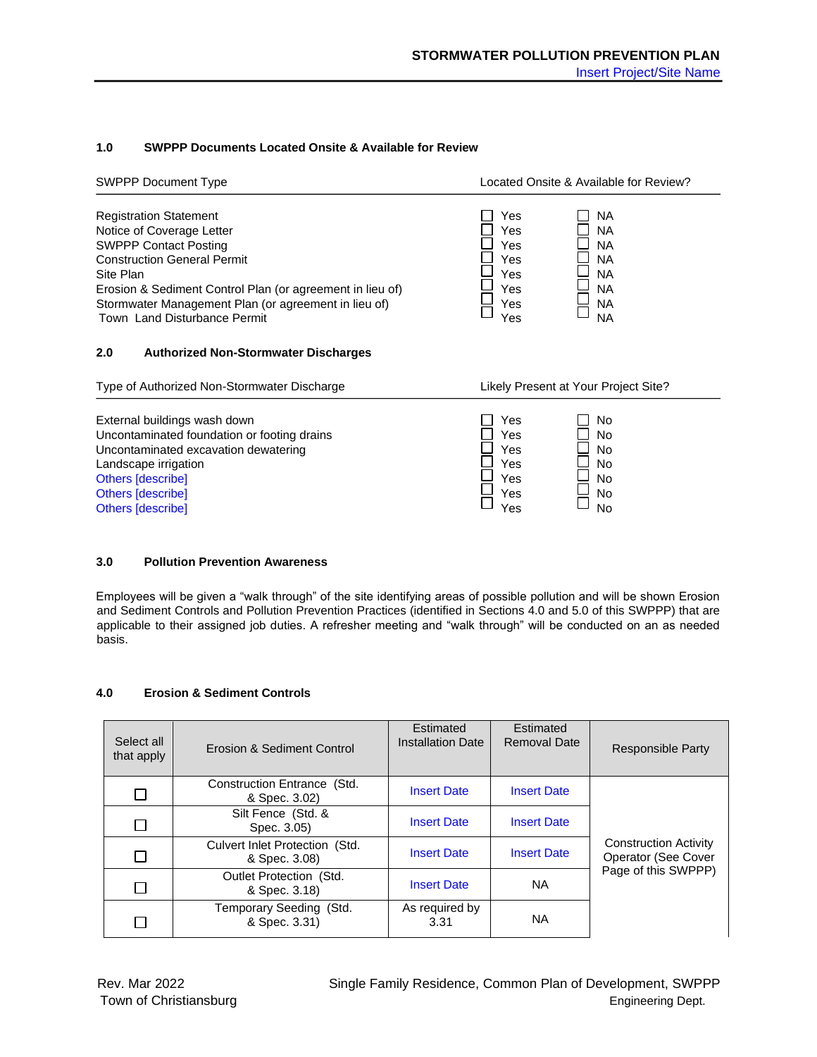## **1.0 SWPPP Documents Located Onsite & Available for Review**

| <b>SWPPP Document Type</b>                                                                                                                                                                                                                                                                         | Located Onsite & Available for Review?                                                                                                                |
|----------------------------------------------------------------------------------------------------------------------------------------------------------------------------------------------------------------------------------------------------------------------------------------------------|-------------------------------------------------------------------------------------------------------------------------------------------------------|
| <b>Registration Statement</b><br>Notice of Coverage Letter<br><b>SWPPP Contact Posting</b><br><b>Construction General Permit</b><br>Site Plan<br>Erosion & Sediment Control Plan (or agreement in lieu of)<br>Stormwater Management Plan (or agreement in lieu of)<br>Town Land Disturbance Permit | Yes<br>ΝA<br>Yes<br><b>NA</b><br>Yes<br><b>NA</b><br>Yes<br><b>NA</b><br><b>NA</b><br>Yes<br><b>NA</b><br>Yes<br><b>NA</b><br>Yes<br><b>NA</b><br>Yes |
| 2.0<br><b>Authorized Non-Stormwater Discharges</b>                                                                                                                                                                                                                                                 |                                                                                                                                                       |

| Type of Authorized Non-Stormwater Discharge |     | Likely Present at Your Project Site? |
|---------------------------------------------|-----|--------------------------------------|
|                                             | Yes |                                      |
| External buildings wash down                |     | No                                   |
| Uncontaminated foundation or footing drains | Yes | <b>No</b>                            |
| Uncontaminated excavation dewatering        | Yes | <b>No</b>                            |
| Landscape irrigation                        | Yes | <b>No</b>                            |
| Others [describe]                           | Yes | <b>No</b>                            |
| Others [describe]                           | Yes | <b>No</b>                            |
| Others [describe]                           | Yes | <b>No</b>                            |

## **3.0 Pollution Prevention Awareness**

Employees will be given a "walk through" of the site identifying areas of possible pollution and will be shown Erosion and Sediment Controls and Pollution Prevention Practices (identified in Sections 4.0 and 5.0 of this SWPPP) that are applicable to their assigned job duties. A refresher meeting and "walk through" will be conducted on an as needed basis.

# **4.0 Erosion & Sediment Controls**

| Select all<br>that apply | <b>Erosion &amp; Sediment Control</b>           | Estimated<br><b>Installation Date</b> | Estimated<br><b>Removal Date</b> | <b>Responsible Party</b>                            |
|--------------------------|-------------------------------------------------|---------------------------------------|----------------------------------|-----------------------------------------------------|
|                          | Construction Entrance (Std.<br>& Spec. 3.02)    | <b>Insert Date</b>                    | <b>Insert Date</b>               |                                                     |
|                          | Silt Fence (Std. &<br>Spec. 3.05)               | <b>Insert Date</b>                    | <b>Insert Date</b>               |                                                     |
|                          | Culvert Inlet Protection (Std.<br>& Spec. 3.08) | <b>Insert Date</b>                    | <b>Insert Date</b>               | <b>Construction Activity</b><br>Operator (See Cover |
|                          | Outlet Protection (Std.<br>& Spec. 3.18)        | <b>Insert Date</b>                    | <b>NA</b>                        | Page of this SWPPP)                                 |
|                          | Temporary Seeding (Std.<br>& Spec. 3.31)        | As required by<br>3.31                | ΝA                               |                                                     |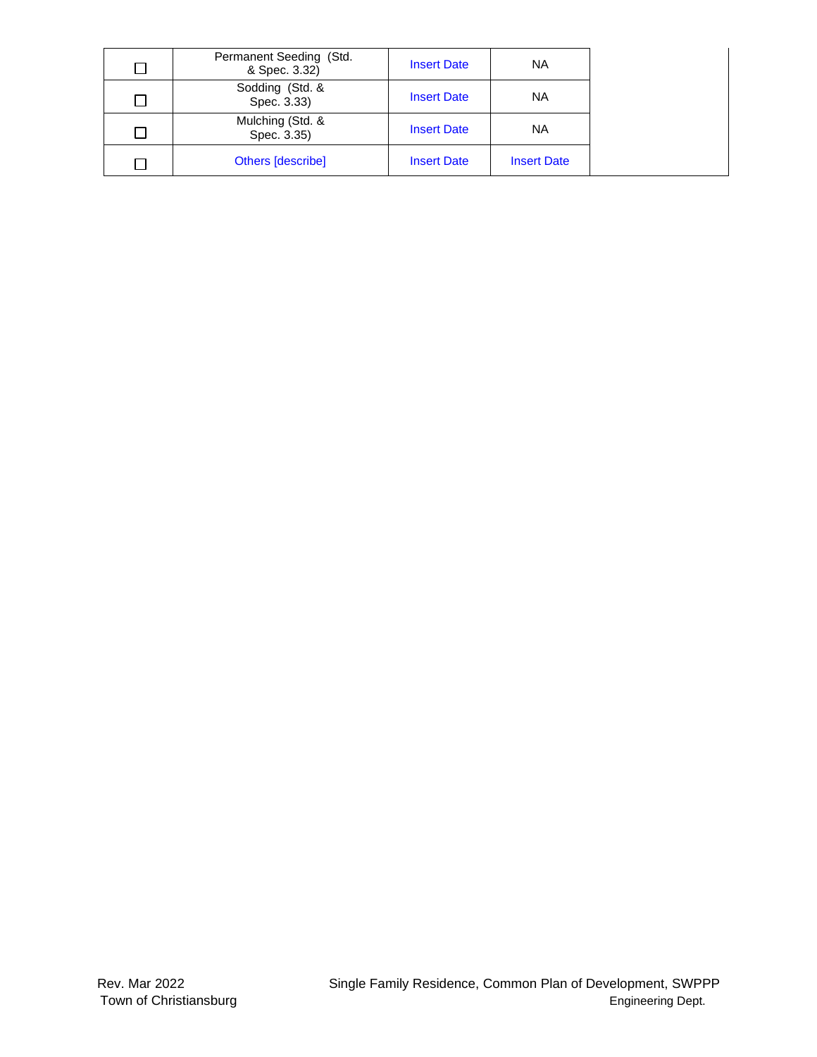|        | Permanent Seeding (Std.<br>& Spec. 3.32) | <b>Insert Date</b> | ΝA                 |
|--------|------------------------------------------|--------------------|--------------------|
| П      | Sodding (Std. &<br>Spec. 3.33)           | <b>Insert Date</b> | ΝA                 |
| $\Box$ | Mulching (Std. &<br>Spec. 3.35)          | <b>Insert Date</b> | ΝA                 |
|        | Others [describe]                        | <b>Insert Date</b> | <b>Insert Date</b> |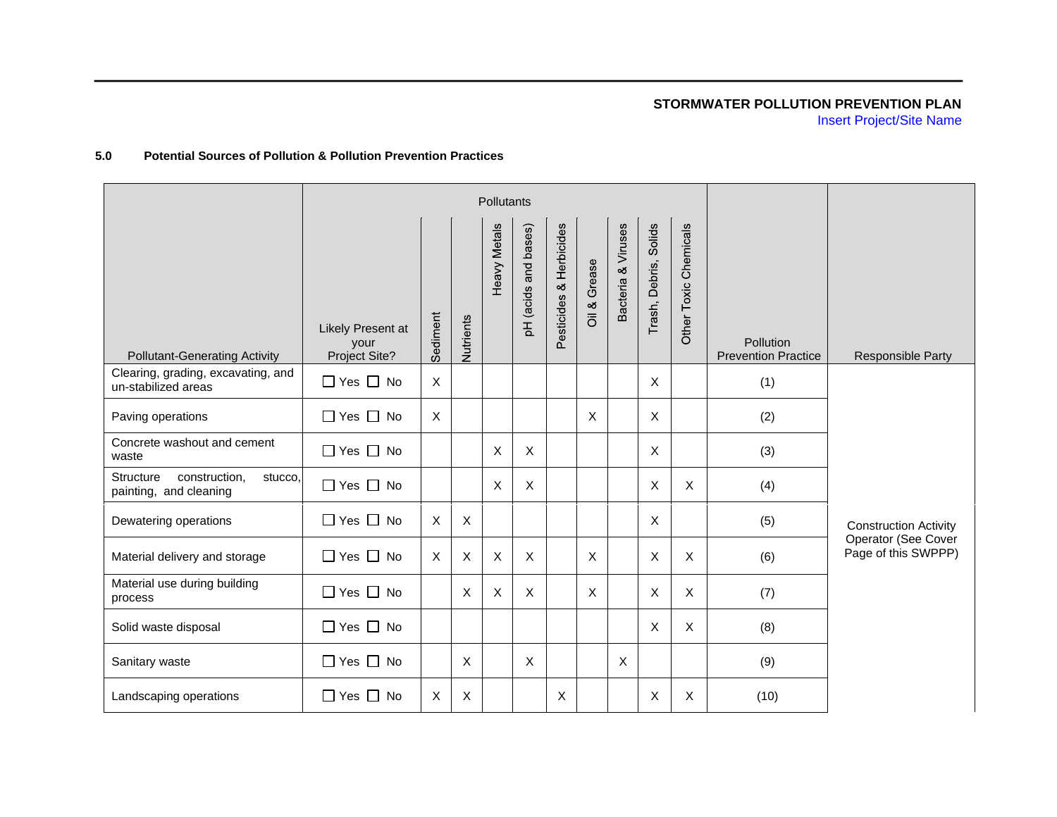# **STORMWATER POLLUTION PREVENTION PLAN**  Insert Project/Site Name

## **5.0 Potential Sources of Pollution & Pollution Prevention Practices**

|                                                                 | Pollutants                                 |                           |              |              |                         |                            |                           |                                 |                       |                           |                                         |                                            |
|-----------------------------------------------------------------|--------------------------------------------|---------------------------|--------------|--------------|-------------------------|----------------------------|---------------------------|---------------------------------|-----------------------|---------------------------|-----------------------------------------|--------------------------------------------|
| <b>Pollutant-Generating Activity</b>                            | Likely Present at<br>your<br>Project Site? | Sediment                  | Nutrients    | Heavy Metals | and bases)<br>pH (acids | & Herbicides<br>Pesticides | Grease<br>Oil &           | Viruses<br>$\infty$<br>Bacteria | Trash, Debris, Solids | Other Toxic Chemicals     | Pollution<br><b>Prevention Practice</b> | <b>Responsible Party</b>                   |
| Clearing, grading, excavating, and<br>un-stabilized areas       | $\Box$ Yes $\Box$ No                       | $\mathsf{X}$              |              |              |                         |                            |                           |                                 | X                     |                           | (1)                                     |                                            |
| Paving operations                                               | $\Box$ Yes $\Box$ No                       | X                         |              |              |                         |                            | X                         |                                 | X                     |                           | (2)                                     |                                            |
| Concrete washout and cement<br>waste                            | $\Box$ Yes $\Box$ No                       |                           |              | X            | X                       |                            |                           |                                 | Χ                     |                           | (3)                                     |                                            |
| Structure<br>construction.<br>stucco,<br>painting, and cleaning | $\Box$ Yes $\Box$ No                       |                           |              | X            | $\times$                |                            |                           |                                 | X                     | $\times$                  | (4)                                     |                                            |
| Dewatering operations                                           | $\Box$ Yes $\Box$ No                       | $\boldsymbol{X}$          | $\mathsf X$  |              |                         |                            |                           |                                 | X                     |                           | (5)                                     | <b>Construction Activity</b>               |
| Material delivery and storage                                   | $\Box$ Yes $\Box$ No                       | $\boldsymbol{\mathsf{X}}$ | $\mathsf X$  | X            | $\times$                |                            | $\boldsymbol{\mathsf{X}}$ |                                 | X                     | $\boldsymbol{\mathsf{X}}$ | (6)                                     | Operator (See Cover<br>Page of this SWPPP) |
| Material use during building<br>process                         | $\Box$ Yes $\Box$ No                       |                           | $\mathsf{X}$ | X            | $\times$                |                            | $\times$                  |                                 | X                     | X                         | (7)                                     |                                            |
| Solid waste disposal                                            | $\Box$ Yes $\Box$ No                       |                           |              |              |                         |                            |                           |                                 | X                     | X                         | (8)                                     |                                            |
| Sanitary waste                                                  | $\Box$ Yes $\Box$ No                       |                           | X            |              | X                       |                            |                           | X                               |                       |                           | (9)                                     |                                            |
| Landscaping operations                                          | $\Box$ Yes $\Box$ No                       | X                         | X            |              |                         | X                          |                           |                                 | X                     | X                         | (10)                                    |                                            |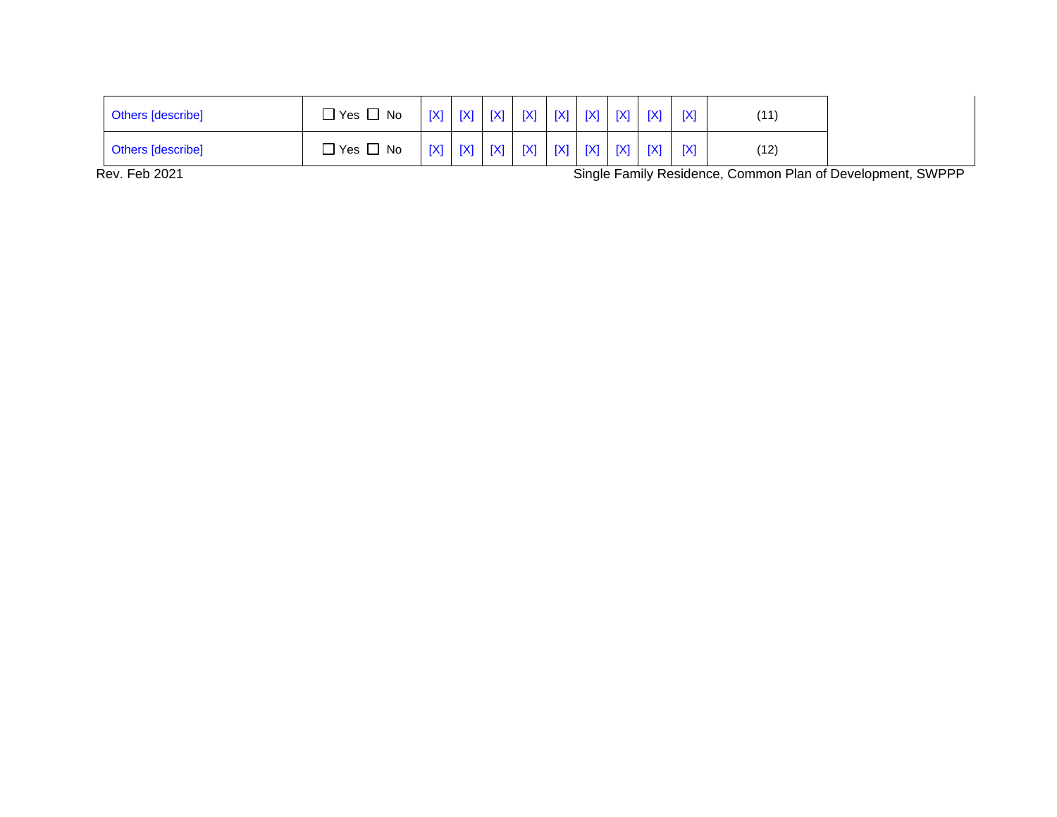| <b>Others [describe]</b> | $\Box$ Yes $\Box$ No. |  | [X]   [X]   [X]   [X]   [X]   [X]   [X]   [X]   [X]   [X] |  |  |                                                           | (11) |
|--------------------------|-----------------------|--|-----------------------------------------------------------|--|--|-----------------------------------------------------------|------|
| <b>Others</b> [describe] | $\Box$ Yes $\Box$ No  |  |                                                           |  |  | [X]   [X]   [X]   [X]   [X]   [X]   [X]   [X]   [X]   [X] | (12) |

Rev. Feb 2021 **Single Family Residence, Common Plan of Development, SWPPP**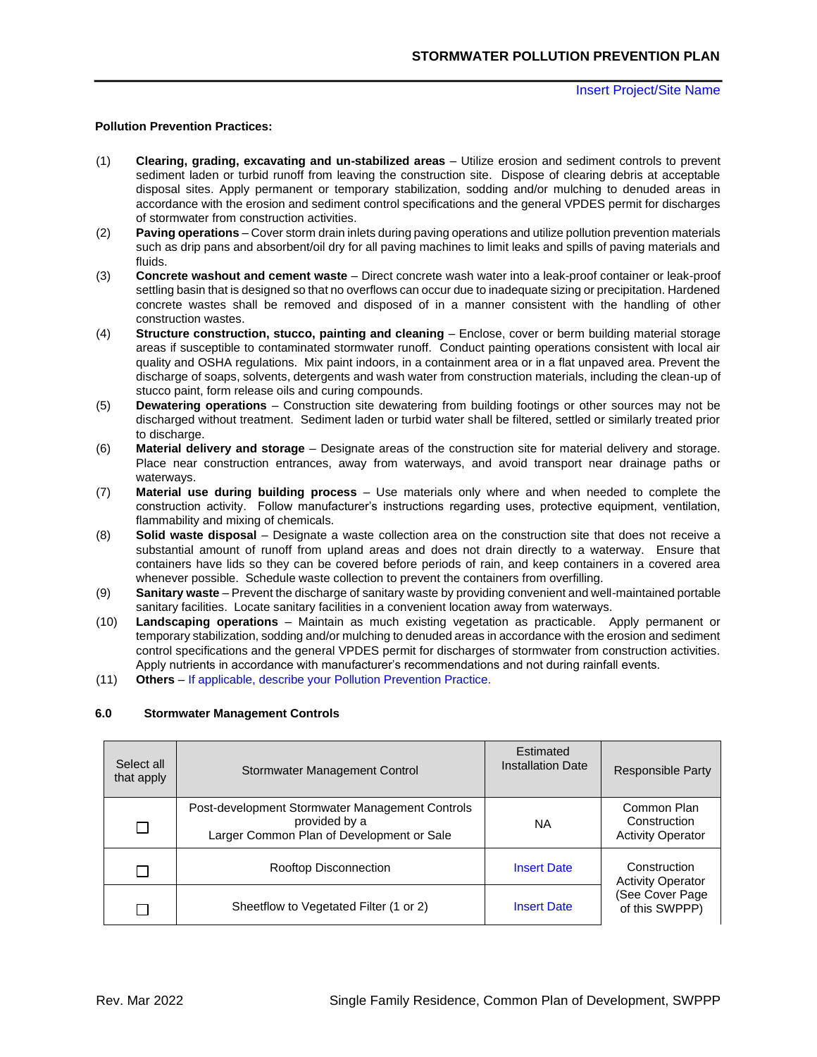## **Pollution Prevention Practices:**

- (1) **Clearing, grading, excavating and un-stabilized areas**  Utilize erosion and sediment controls to prevent sediment laden or turbid runoff from leaving the construction site. Dispose of clearing debris at acceptable disposal sites. Apply permanent or temporary stabilization, sodding and/or mulching to denuded areas in accordance with the erosion and sediment control specifications and the general VPDES permit for discharges of stormwater from construction activities.
- (2) **Paving operations**  Cover storm drain inlets during paving operations and utilize pollution prevention materials such as drip pans and absorbent/oil dry for all paving machines to limit leaks and spills of paving materials and fluids.
- (3) **Concrete washout and cement waste**  Direct concrete wash water into a leak-proof container or leak-proof settling basin that is designed so that no overflows can occur due to inadequate sizing or precipitation. Hardened concrete wastes shall be removed and disposed of in a manner consistent with the handling of other construction wastes.
- (4) **Structure construction, stucco, painting and cleaning**  Enclose, cover or berm building material storage areas if susceptible to contaminated stormwater runoff. Conduct painting operations consistent with local air quality and OSHA regulations. Mix paint indoors, in a containment area or in a flat unpaved area. Prevent the discharge of soaps, solvents, detergents and wash water from construction materials, including the clean-up of stucco paint, form release oils and curing compounds.
- (5) **Dewatering operations**  Construction site dewatering from building footings or other sources may not be discharged without treatment. Sediment laden or turbid water shall be filtered, settled or similarly treated prior to discharge.
- (6) **Material delivery and storage**  Designate areas of the construction site for material delivery and storage. Place near construction entrances, away from waterways, and avoid transport near drainage paths or waterways.
- (7) **Material use during building process**  Use materials only where and when needed to complete the construction activity. Follow manufacturer's instructions regarding uses, protective equipment, ventilation, flammability and mixing of chemicals.
- (8) **Solid waste disposal**  Designate a waste collection area on the construction site that does not receive a substantial amount of runoff from upland areas and does not drain directly to a waterway. Ensure that containers have lids so they can be covered before periods of rain, and keep containers in a covered area whenever possible. Schedule waste collection to prevent the containers from overfilling.
- (9) **Sanitary waste**  Prevent the discharge of sanitary waste by providing convenient and well-maintained portable sanitary facilities. Locate sanitary facilities in a convenient location away from waterways.
- (10) **Landscaping operations**  Maintain as much existing vegetation as practicable. Apply permanent or temporary stabilization, sodding and/or mulching to denuded areas in accordance with the erosion and sediment control specifications and the general VPDES permit for discharges of stormwater from construction activities. Apply nutrients in accordance with manufacturer's recommendations and not during rainfall events.
- (11) **Others**  If applicable, describe your Pollution Prevention Practice.

## **6.0 Stormwater Management Controls**

| Select all<br>that apply | Stormwater Management Control                                                                                 | Estimated<br><b>Installation Date</b> | <b>Responsible Party</b>                                |
|--------------------------|---------------------------------------------------------------------------------------------------------------|---------------------------------------|---------------------------------------------------------|
|                          | Post-development Stormwater Management Controls<br>provided by a<br>Larger Common Plan of Development or Sale | ΝA                                    | Common Plan<br>Construction<br><b>Activity Operator</b> |
|                          | Rooftop Disconnection                                                                                         | <b>Insert Date</b>                    | Construction<br><b>Activity Operator</b>                |
|                          | Sheetflow to Vegetated Filter (1 or 2)                                                                        | <b>Insert Date</b>                    | (See Cover Page<br>of this SWPPP)                       |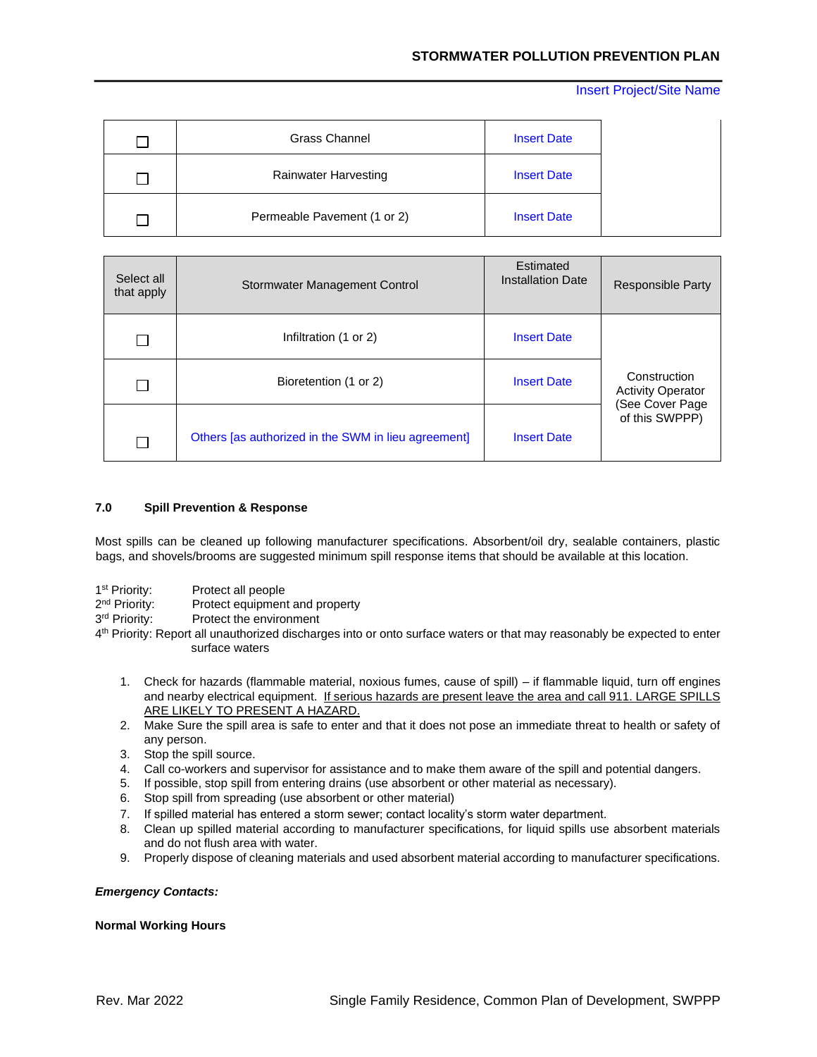| I.            | Grass Channel               | <b>Insert Date</b> |
|---------------|-----------------------------|--------------------|
|               | Rainwater Harvesting        | <b>Insert Date</b> |
| $\mathcal{L}$ | Permeable Pavement (1 or 2) | <b>Insert Date</b> |

| Select all<br>that apply | Stormwater Management Control                       | Estimated<br><b>Installation Date</b> | <b>Responsible Party</b>                 |
|--------------------------|-----------------------------------------------------|---------------------------------------|------------------------------------------|
|                          | Infiltration (1 or 2)                               | <b>Insert Date</b>                    |                                          |
|                          | Bioretention (1 or 2)                               | <b>Insert Date</b>                    | Construction<br><b>Activity Operator</b> |
|                          | Others [as authorized in the SWM in lieu agreement] | <b>Insert Date</b>                    | (See Cover Page<br>of this SWPPP)        |

## **7.0 Spill Prevention & Response**

Most spills can be cleaned up following manufacturer specifications. Absorbent/oil dry, sealable containers, plastic bags, and shovels/brooms are suggested minimum spill response items that should be available at this location.

- 1<sup>st</sup> Priority: Protect all people
- 2<sup>nd</sup> Priority: Protect equipment and property
- 3rd Priority: Protect the environment
- 4<sup>th</sup> Priority: Report all unauthorized discharges into or onto surface waters or that may reasonably be expected to enter surface waters
	- 1. Check for hazards (flammable material, noxious fumes, cause of spill) if flammable liquid, turn off engines and nearby electrical equipment. If serious hazards are present leave the area and call 911. LARGE SPILLS ARE LIKELY TO PRESENT A HAZARD.
	- 2. Make Sure the spill area is safe to enter and that it does not pose an immediate threat to health or safety of any person.
	- 3. Stop the spill source.
	- 4. Call co-workers and supervisor for assistance and to make them aware of the spill and potential dangers.
	- 5. If possible, stop spill from entering drains (use absorbent or other material as necessary).
	- 6. Stop spill from spreading (use absorbent or other material)
	- 7. If spilled material has entered a storm sewer; contact locality's storm water department.
	- 8. Clean up spilled material according to manufacturer specifications, for liquid spills use absorbent materials and do not flush area with water.
	- 9. Properly dispose of cleaning materials and used absorbent material according to manufacturer specifications.

## *Emergency Contacts:*

#### **Normal Working Hours**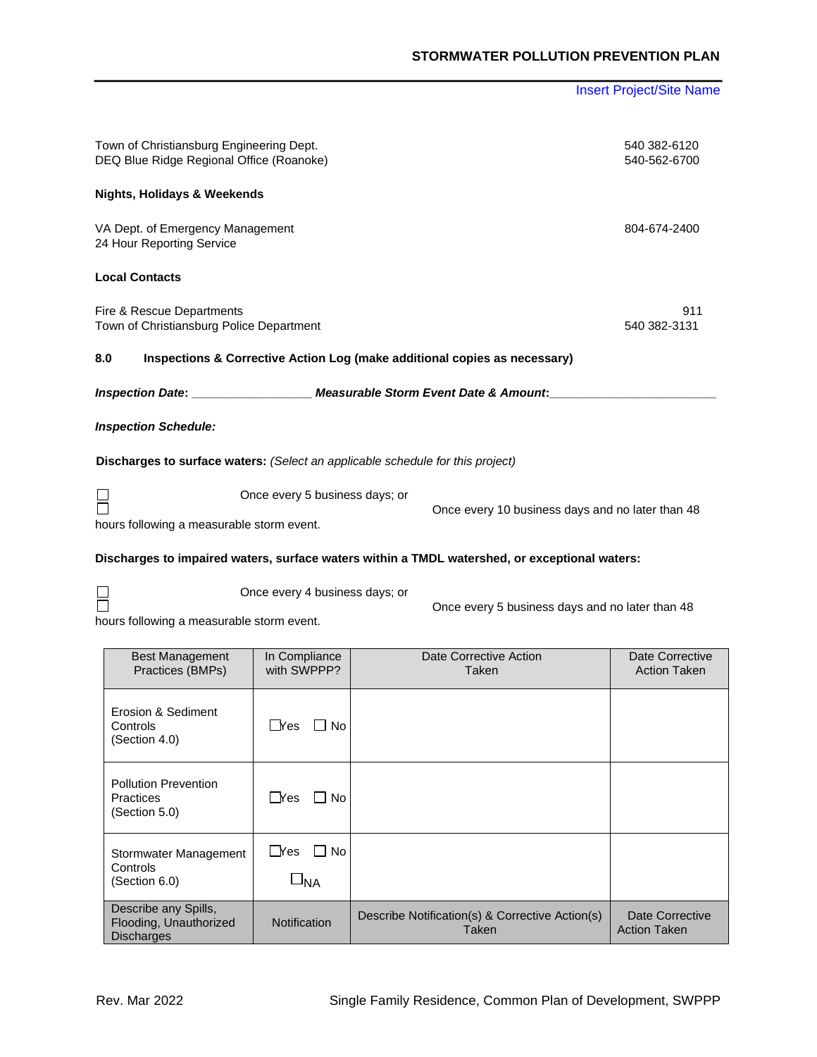Town of Christiansburg Engineering Dept. 640 382-6120 DEQ Blue Ridge Regional Office (Roanoke) 540-562-6700 **Nights, Holidays & Weekends**  VA Dept. of Emergency Management 804-674-2400 24 Hour Reporting Service **Local Contacts**  Fire & Rescue Departments 911 Town of Christiansburg Police Department540 382-3131 **8.0 Inspections & Corrective Action Log (make additional copies as necessary)**  *Inspection Date***: \_\_\_\_\_\_\_\_\_\_\_\_\_\_\_\_\_\_** *Measurable Storm Event Date & Amount***:\_\_\_\_\_\_\_\_\_\_\_\_\_\_\_\_\_\_\_\_\_\_\_\_\_** *Inspection Schedule:*  **Discharges to surface waters:** *(Select an applicable schedule for this project)*

 $\Box$ Once every 5 business days; or hours following a measurable storm event.

Once every 10 business days and no later than 48

**Discharges to impaired waters, surface waters within a TMDL watershed, or exceptional waters:** 

Once every 4 business days; or

Once every 5 business days and no later than 48

hours following a measurable storm event.

| <b>Best Management</b><br>Practices (BMPs)                          | In Compliance<br>with SWPPP? | Date Corrective Action<br>Taken                          | Date Corrective<br><b>Action Taken</b> |
|---------------------------------------------------------------------|------------------------------|----------------------------------------------------------|----------------------------------------|
| Erosion & Sediment<br>Controls<br>(Section 4.0)                     | $\sqcup$ Yes<br>l I No       |                                                          |                                        |
| <b>Pollution Prevention</b><br><b>Practices</b><br>(Section 5.0)    | ∣ Yes<br>l I No              |                                                          |                                        |
| Stormwater Management<br>Controls<br>(Section 6.0)                  | ∐Yes<br>l I No<br>–'NA       |                                                          |                                        |
|                                                                     |                              |                                                          |                                        |
| Describe any Spills,<br>Flooding, Unauthorized<br><b>Discharges</b> | Notification                 | Describe Notification(s) & Corrective Action(s)<br>Taken | Date Corrective<br><b>Action Taken</b> |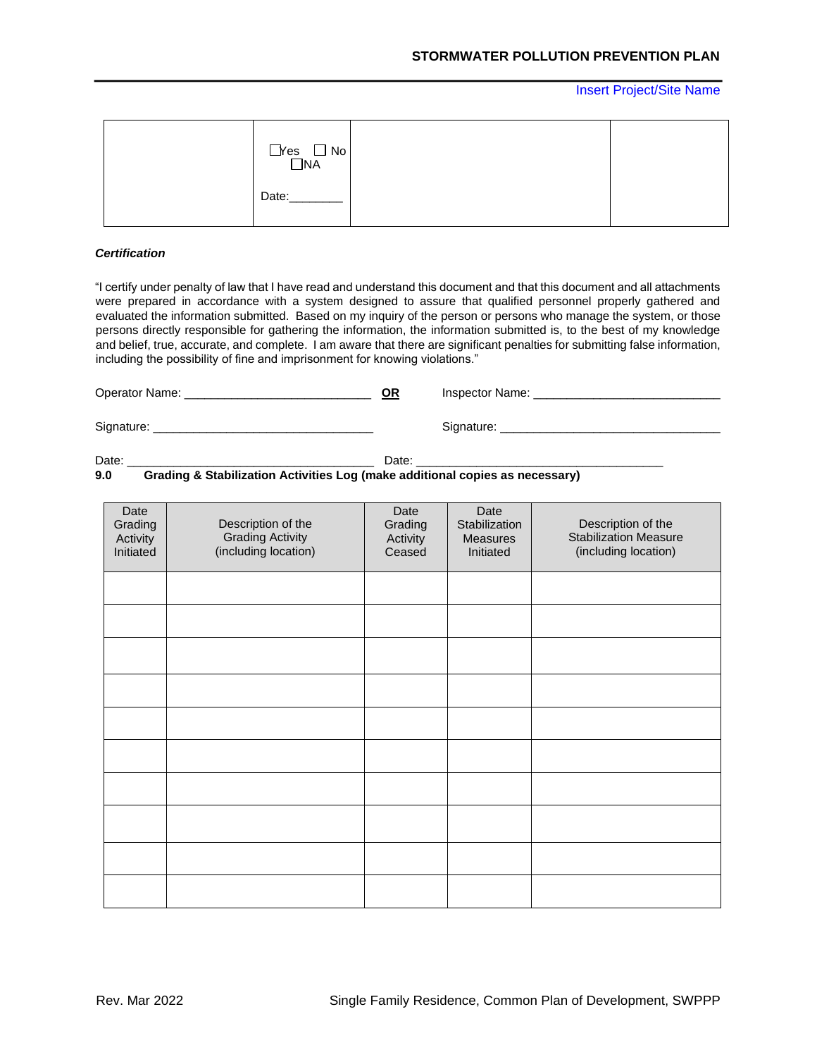| $Nes$ $No$ $NA$ |  |
|-----------------|--|
| Date:           |  |

## *Certification*

"I certify under penalty of law that I have read and understand this document and that this document and all attachments were prepared in accordance with a system designed to assure that qualified personnel properly gathered and evaluated the information submitted. Based on my inquiry of the person or persons who manage the system, or those persons directly responsible for gathering the information, the information submitted is, to the best of my knowledge and belief, true, accurate, and complete. I am aware that there are significant penalties for submitting false information, including the possibility of fine and imprisonment for knowing violations."

Operator Name: \_\_\_\_\_\_\_\_\_\_\_\_\_\_\_\_\_\_\_\_\_\_\_\_\_\_\_\_ **OR** Inspector Name: \_\_\_\_\_\_\_\_\_\_\_\_\_\_\_\_\_\_\_\_\_\_\_\_\_\_\_\_ Signature: \_\_\_\_\_\_\_\_\_\_\_\_\_\_\_\_\_\_\_\_\_\_\_\_\_\_\_\_\_\_\_\_\_ Signature: \_\_\_\_\_\_\_\_\_\_\_\_\_\_\_\_\_\_\_\_\_\_\_\_\_\_\_\_\_\_\_\_\_

Date: \_\_\_\_\_\_\_\_\_\_\_\_\_\_\_\_\_\_\_\_\_\_\_\_\_\_\_\_\_\_\_\_\_\_\_\_\_ Date: \_\_\_\_\_\_\_\_\_\_\_\_\_\_\_\_\_\_\_\_\_\_\_\_\_\_\_\_\_\_\_\_\_\_\_\_\_

**9.0 Grading & Stabilization Activities Log (make additional copies as necessary)** 

| Date<br>Grading<br>Activity<br>Initiated | Description of the<br><b>Grading Activity</b><br>(including location) | Date<br>Grading<br>Activity<br>Ceased | Date<br>Stabilization<br><b>Measures</b><br>Initiated | Description of the<br><b>Stabilization Measure</b><br>(including location) |
|------------------------------------------|-----------------------------------------------------------------------|---------------------------------------|-------------------------------------------------------|----------------------------------------------------------------------------|
|                                          |                                                                       |                                       |                                                       |                                                                            |
|                                          |                                                                       |                                       |                                                       |                                                                            |
|                                          |                                                                       |                                       |                                                       |                                                                            |
|                                          |                                                                       |                                       |                                                       |                                                                            |
|                                          |                                                                       |                                       |                                                       |                                                                            |
|                                          |                                                                       |                                       |                                                       |                                                                            |
|                                          |                                                                       |                                       |                                                       |                                                                            |
|                                          |                                                                       |                                       |                                                       |                                                                            |
|                                          |                                                                       |                                       |                                                       |                                                                            |
|                                          |                                                                       |                                       |                                                       |                                                                            |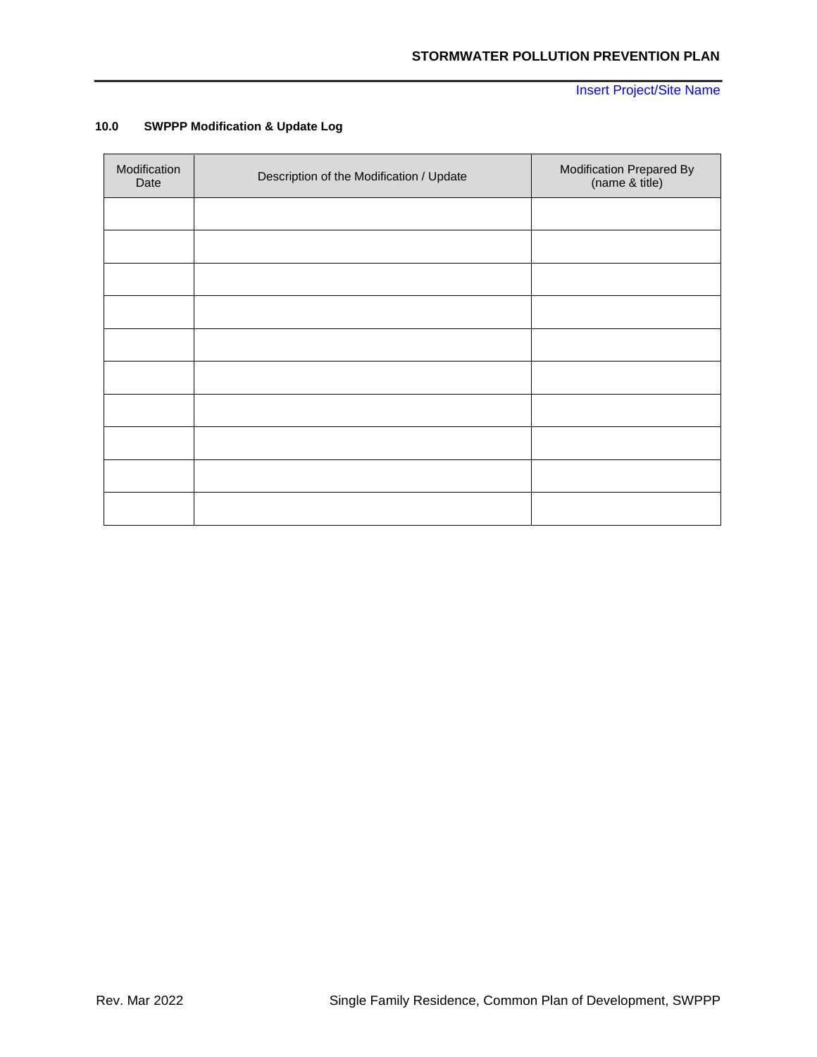# **10.0 SWPPP Modification & Update Log**

| Modification<br>Date | Description of the Modification / Update | Modification Prepared By<br>(name & title) |
|----------------------|------------------------------------------|--------------------------------------------|
|                      |                                          |                                            |
|                      |                                          |                                            |
|                      |                                          |                                            |
|                      |                                          |                                            |
|                      |                                          |                                            |
|                      |                                          |                                            |
|                      |                                          |                                            |
|                      |                                          |                                            |
|                      |                                          |                                            |
|                      |                                          |                                            |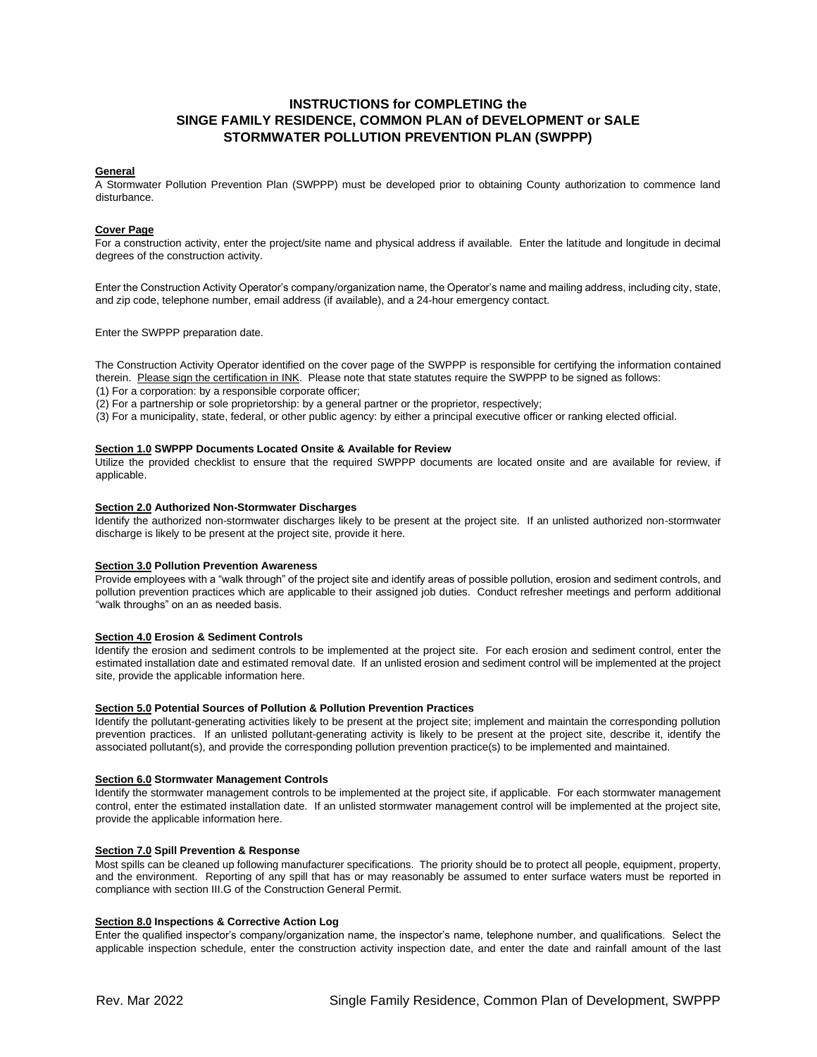# **INSTRUCTIONS for COMPLETING the SINGE FAMILY RESIDENCE, COMMON PLAN of DEVELOPMENT or SALE STORMWATER POLLUTION PREVENTION PLAN (SWPPP)**

#### **General**

A Stormwater Pollution Prevention Plan (SWPPP) must be developed prior to obtaining County authorization to commence land disturbance.

#### **Cover Page**

For a construction activity, enter the project/site name and physical address if available. Enter the latitude and longitude in decimal degrees of the construction activity.

Enter the Construction Activity Operator's company/organization name, the Operator's name and mailing address, including city, state, and zip code, telephone number, email address (if available), and a 24-hour emergency contact.

Enter the SWPPP preparation date.

The Construction Activity Operator identified on the cover page of the SWPPP is responsible for certifying the information contained therein. Please sign the certification in INK. Please note that state statutes require the SWPPP to be signed as follows:

(1) For a corporation: by a responsible corporate officer;

(2) For a partnership or sole proprietorship: by a general partner or the proprietor, respectively;

(3) For a municipality, state, federal, or other public agency: by either a principal executive officer or ranking elected official.

#### **Section 1.0 SWPPP Documents Located Onsite & Available for Review**

Utilize the provided checklist to ensure that the required SWPPP documents are located onsite and are available for review, if applicable.

#### **Section 2.0 Authorized Non-Stormwater Discharges**

Identify the authorized non-stormwater discharges likely to be present at the project site. If an unlisted authorized non-stormwater discharge is likely to be present at the project site, provide it here.

#### **Section 3.0 Pollution Prevention Awareness**

Provide employees with a "walk through" of the project site and identify areas of possible pollution, erosion and sediment controls, and pollution prevention practices which are applicable to their assigned job duties. Conduct refresher meetings and perform additional "walk throughs" on an as needed basis.

#### **Section 4.0 Erosion & Sediment Controls**

Identify the erosion and sediment controls to be implemented at the project site. For each erosion and sediment control, enter the estimated installation date and estimated removal date. If an unlisted erosion and sediment control will be implemented at the project site, provide the applicable information here.

#### **Section 5.0 Potential Sources of Pollution & Pollution Prevention Practices**

Identify the pollutant-generating activities likely to be present at the project site; implement and maintain the corresponding pollution prevention practices. If an unlisted pollutant-generating activity is likely to be present at the project site, describe it, identify the associated pollutant(s), and provide the corresponding pollution prevention practice(s) to be implemented and maintained.

#### **Section 6.0 Stormwater Management Controls**

Identify the stormwater management controls to be implemented at the project site, if applicable. For each stormwater management control, enter the estimated installation date. If an unlisted stormwater management control will be implemented at the project site, provide the applicable information here.

#### **Section 7.0 Spill Prevention & Response**

Most spills can be cleaned up following manufacturer specifications. The priority should be to protect all people, equipment, property, and the environment. Reporting of any spill that has or may reasonably be assumed to enter surface waters must be reported in compliance with section III.G of the Construction General Permit.

### **Section 8.0 Inspections & Corrective Action Log**

Enter the qualified inspector's company/organization name, the inspector's name, telephone number, and qualifications. Select the applicable inspection schedule, enter the construction activity inspection date, and enter the date and rainfall amount of the last